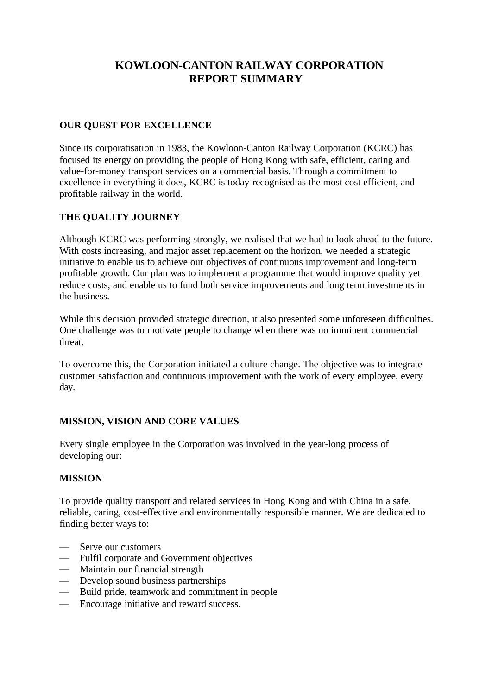# **KOWLOON-CANTON RAILWAY CORPORATION REPORT SUMMARY**

### **OUR QUEST FOR EXCELLENCE**

Since its corporatisation in 1983, the Kowloon-Canton Railway Corporation (KCRC) has focused its energy on providing the people of Hong Kong with safe, efficient, caring and value-for-money transport services on a commercial basis. Through a commitment to excellence in everything it does, KCRC is today recognised as the most cost efficient, and profitable railway in the world.

### **THE QUALITY JOURNEY**

Although KCRC was performing strongly, we realised that we had to look ahead to the future. With costs increasing, and major asset replacement on the horizon, we needed a strategic initiative to enable us to achieve our objectives of continuous improvement and long-term profitable growth. Our plan was to implement a programme that would improve quality yet reduce costs, and enable us to fund both service improvements and long term investments in the business.

While this decision provided strategic direction, it also presented some unforeseen difficulties. One challenge was to motivate people to change when there was no imminent commercial threat.

To overcome this, the Corporation initiated a culture change. The objective was to integrate customer satisfaction and continuous improvement with the work of every employee, every day.

# **MISSION, VISION AND CORE VALUES**

Every single employee in the Corporation was involved in the year-long process of developing our:

#### **MISSION**

To provide quality transport and related services in Hong Kong and with China in a safe, reliable, caring, cost-effective and environmentally responsible manner. We are dedicated to finding better ways to:

- Serve our customers
- Fulfil corporate and Government objectives
- Maintain our financial strength
- Develop sound business partnerships
- Build pride, teamwork and commitment in people
- Encourage initiative and reward success.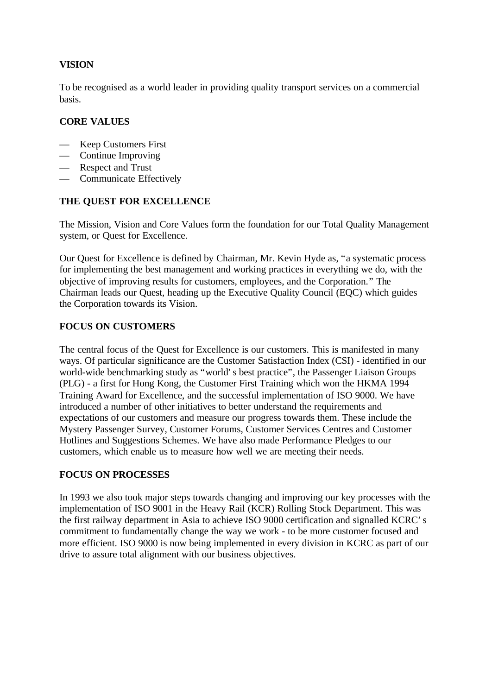# **VISION**

To be recognised as a world leader in providing quality transport services on a commercial basis.

# **CORE VALUES**

- Keep Customers First
- Continue Improving
- Respect and Trust
- Communicate Effectively

### **THE QUEST FOR EXCELLENCE**

The Mission, Vision and Core Values form the foundation for our Total Quality Management system, or Quest for Excellence.

Our Quest for Excellence is defined by Chairman, Mr. Kevin Hyde as, "a systematic process for implementing the best management and working practices in everything we do, with the objective of improving results for customers, employees, and the Corporation." The Chairman leads our Quest, heading up the Executive Quality Council (EQC) which guides the Corporation towards its Vision.

# **FOCUS ON CUSTOMERS**

The central focus of the Quest for Excellence is our customers. This is manifested in many ways. Of particular significance are the Customer Satisfaction Index (CSI) - identified in our world-wide benchmarking study as "world's best practice", the Passenger Liaison Groups (PLG) - a first for Hong Kong, the Customer First Training which won the HKMA 1994 Training Award for Excellence, and the successful implementation of ISO 9000. We have introduced a number of other initiatives to better understand the requirements and expectations of our customers and measure our progress towards them. These include the Mystery Passenger Survey, Customer Forums, Customer Services Centres and Customer Hotlines and Suggestions Schemes. We have also made Performance Pledges to our customers, which enable us to measure how well we are meeting their needs.

#### **FOCUS ON PROCESSES**

In 1993 we also took major steps towards changing and improving our key processes with the implementation of ISO 9001 in the Heavy Rail (KCR) Rolling Stock Department. This was the first railway department in Asia to achieve ISO 9000 certification and signalled KCRC's commitment to fundamentally change the way we work - to be more customer focused and more efficient. ISO 9000 is now being implemented in every division in KCRC as part of our drive to assure total alignment with our business objectives.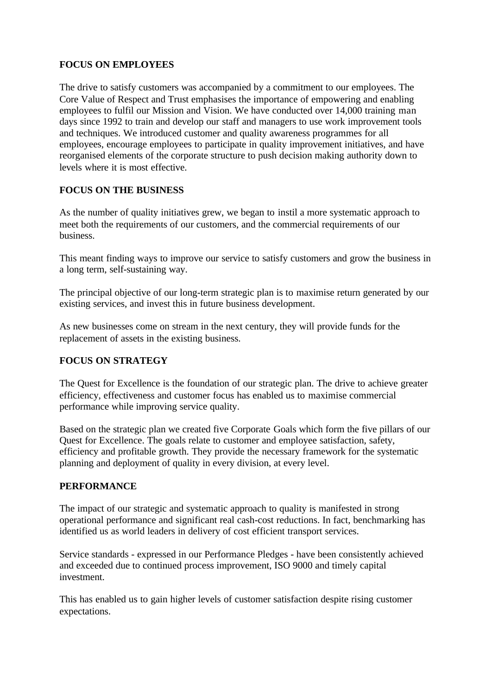### **FOCUS ON EMPLOYEES**

The drive to satisfy customers was accompanied by a commitment to our employees. The Core Value of Respect and Trust emphasises the importance of empowering and enabling employees to fulfil our Mission and Vision. We have conducted over 14,000 training man days since 1992 to train and develop our staff and managers to use work improvement tools and techniques. We introduced customer and quality awareness programmes for all employees, encourage employees to participate in quality improvement initiatives, and have reorganised elements of the corporate structure to push decision making authority down to levels where it is most effective.

# **FOCUS ON THE BUSINESS**

As the number of quality initiatives grew, we began to instil a more systematic approach to meet both the requirements of our customers, and the commercial requirements of our business.

This meant finding ways to improve our service to satisfy customers and grow the business in a long term, self-sustaining way.

The principal objective of our long-term strategic plan is to maximise return generated by our existing services, and invest this in future business development.

As new businesses come on stream in the next century, they will provide funds for the replacement of assets in the existing business.

# **FOCUS ON STRATEGY**

The Quest for Excellence is the foundation of our strategic plan. The drive to achieve greater efficiency, effectiveness and customer focus has enabled us to maximise commercial performance while improving service quality.

Based on the strategic plan we created five Corporate Goals which form the five pillars of our Quest for Excellence. The goals relate to customer and employee satisfaction, safety, efficiency and profitable growth. They provide the necessary framework for the systematic planning and deployment of quality in every division, at every level.

#### **PERFORMANCE**

The impact of our strategic and systematic approach to quality is manifested in strong operational performance and significant real cash-cost reductions. In fact, benchmarking has identified us as world leaders in delivery of cost efficient transport services.

Service standards - expressed in our Performance Pledges - have been consistently achieved and exceeded due to continued process improvement, ISO 9000 and timely capital investment.

This has enabled us to gain higher levels of customer satisfaction despite rising customer expectations.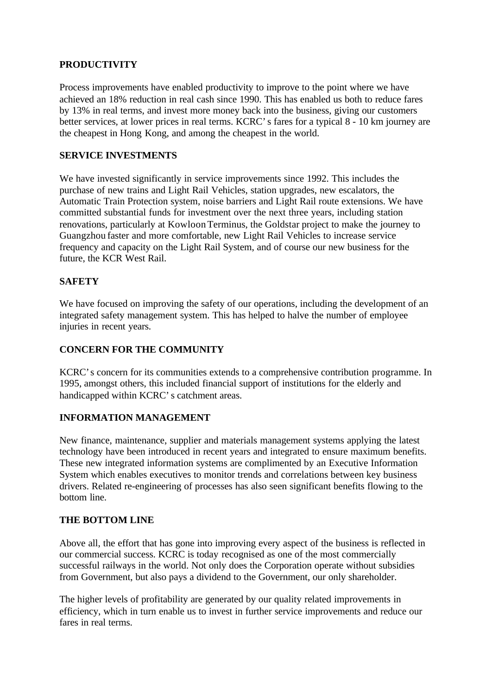### **PRODUCTIVITY**

Process improvements have enabled productivity to improve to the point where we have achieved an 18% reduction in real cash since 1990. This has enabled us both to reduce fares by 13% in real terms, and invest more money back into the business, giving our customers better services, at lower prices in real terms. KCRC's fares for a typical 8 - 10 km journey are the cheapest in Hong Kong, and among the cheapest in the world.

# **SERVICE INVESTMENTS**

We have invested significantly in service improvements since 1992. This includes the purchase of new trains and Light Rail Vehicles, station upgrades, new escalators, the Automatic Train Protection system, noise barriers and Light Rail route extensions. We have committed substantial funds for investment over the next three years, including station renovations, particularly at Kowloon Terminus, the Goldstar project to make the journey to Guangzhou faster and more comfortable, new Light Rail Vehicles to increase service frequency and capacity on the Light Rail System, and of course our new business for the future, the KCR West Rail.

### **SAFETY**

We have focused on improving the safety of our operations, including the development of an integrated safety management system. This has helped to halve the number of employee injuries in recent years.

# **CONCERN FOR THE COMMUNITY**

KCRC's concern for its communities extends to a comprehensive contribution programme. In 1995, amongst others, this included financial support of institutions for the elderly and handicapped within KCRC's catchment areas.

#### **INFORMATION MANAGEMENT**

New finance, maintenance, supplier and materials management systems applying the latest technology have been introduced in recent years and integrated to ensure maximum benefits. These new integrated information systems are complimented by an Executive Information System which enables executives to monitor trends and correlations between key business drivers. Related re-engineering of processes has also seen significant benefits flowing to the bottom line.

#### **THE BOTTOM LINE**

Above all, the effort that has gone into improving every aspect of the business is reflected in our commercial success. KCRC is today recognised as one of the most commercially successful railways in the world. Not only does the Corporation operate without subsidies from Government, but also pays a dividend to the Government, our only shareholder.

The higher levels of profitability are generated by our quality related improvements in efficiency, which in turn enable us to invest in further service improvements and reduce our fares in real terms.